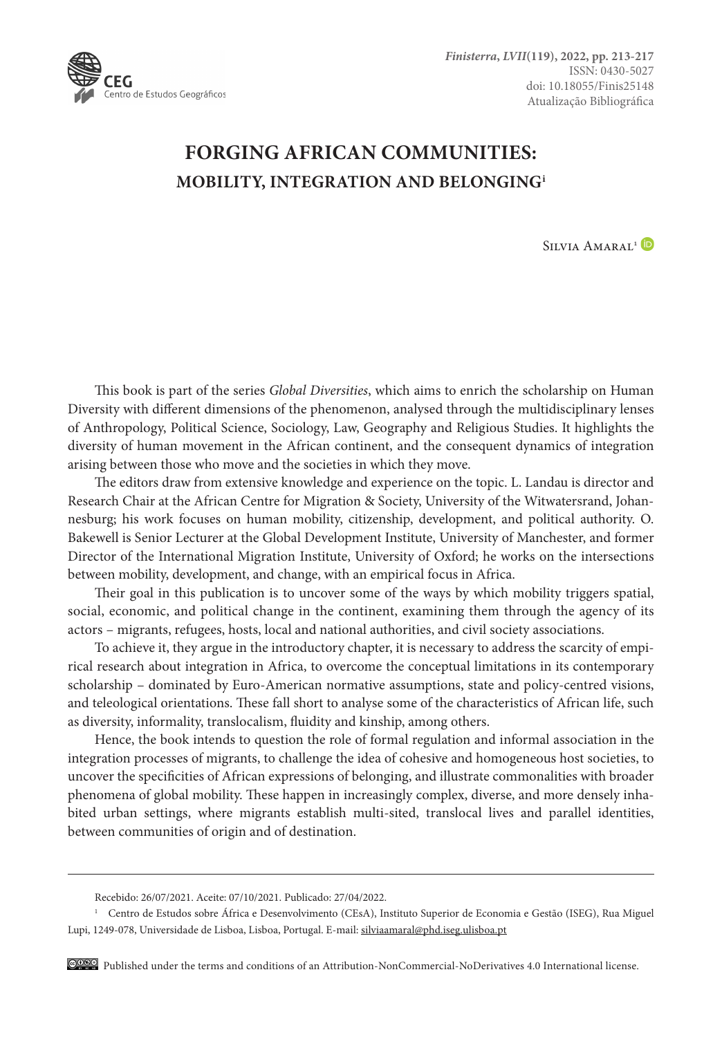

## **FORGING AFRICAN COMMUNITIES: MOBILITY, INTEGRATION AND BELONGINGi**

SILVIA AMARAL<sup>1</sup>

This book is part of the series *Global Diversities*, which aims to enrich the scholarship on Human Diversity with different dimensions of the phenomenon, analysed through the multidisciplinary lenses of Anthropology, Political Science, Sociology, Law, Geography and Religious Studies. It highlights the diversity of human movement in the African continent, and the consequent dynamics of integration arising between those who move and the societies in which they move.

The editors draw from extensive knowledge and experience on the topic. L. Landau is director and Research Chair at the African Centre for Migration & Society, University of the Witwatersrand, Johannesburg; his work focuses on human mobility, citizenship, development, and political authority. O. Bakewell is Senior Lecturer at the Global Development Institute, University of Manchester, and former Director of the International Migration Institute, University of Oxford; he works on the intersections between mobility, development, and change, with an empirical focus in Africa.

Their goal in this publication is to uncover some of the ways by which mobility triggers spatial, social, economic, and political change in the continent, examining them through the agency of its actors – migrants, refugees, hosts, local and national authorities, and civil society associations.

To achieve it, they argue in the introductory chapter, it is necessary to address the scarcity of empirical research about integration in Africa, to overcome the conceptual limitations in its contemporary scholarship – dominated by Euro-American normative assumptions, state and policy-centred visions, and teleological orientations. These fall short to analyse some of the characteristics of African life, such as diversity, informality, translocalism, fluidity and kinship, among others.

Hence, the book intends to question the role of formal regulation and informal association in the integration processes of migrants, to challenge the idea of cohesive and homogeneous host societies, to uncover the specificities of African expressions of belonging, and illustrate commonalities with broader phenomena of global mobility. These happen in increasingly complex, diverse, and more densely inhabited urban settings, where migrants establish multi-sited, translocal lives and parallel identities, between communities of origin and of destination.

Recebido: 26/07/2021. Aceite: 07/10/2021. Publicado: 27/04/2022.

<sup>1</sup> Centro de Estudos sobre África e Desenvolvimento (CEsA), Instituto Superior de Economia e Gestão (ISEG), Rua Miguel Lupi, 1249-078, Universidade de Lisboa, Lisboa, Portugal. E-mail: [silviaamaral@phd.iseg.ulisboa.pt](mailto:silviaamaral@phd.iseg.ulisboa.pt)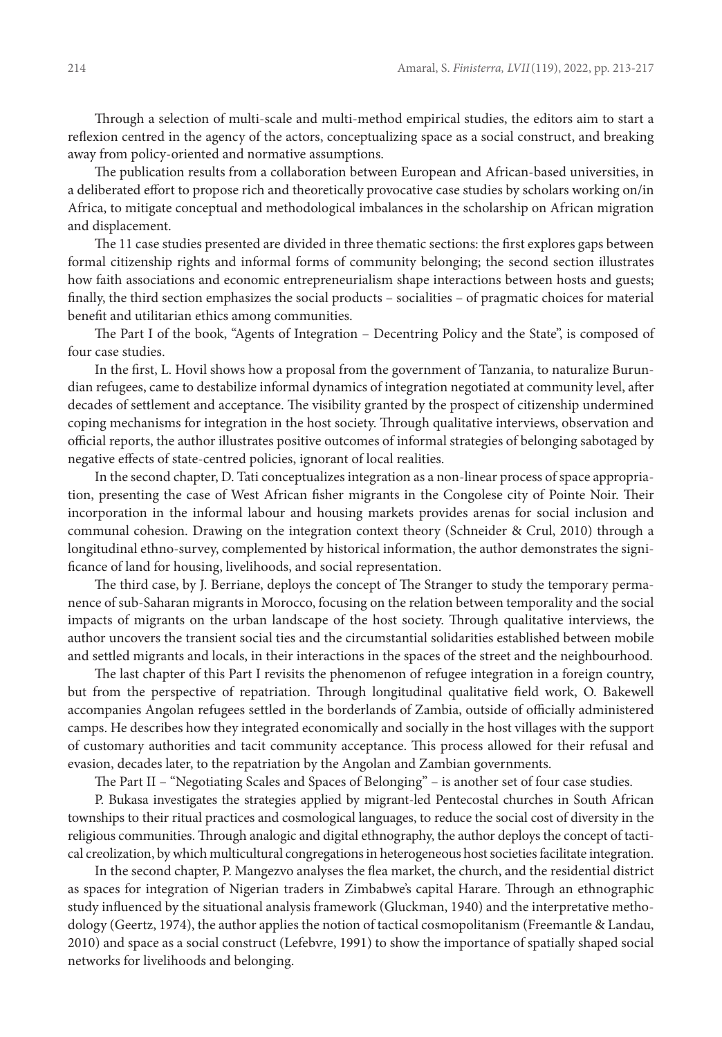Through a selection of multi-scale and multi-method empirical studies, the editors aim to start a reflexion centred in the agency of the actors, conceptualizing space as a social construct, and breaking away from policy-oriented and normative assumptions.

The publication results from a collaboration between European and African-based universities, in a deliberated effort to propose rich and theoretically provocative case studies by scholars working on/in Africa, to mitigate conceptual and methodological imbalances in the scholarship on African migration and displacement.

The 11 case studies presented are divided in three thematic sections: the first explores gaps between formal citizenship rights and informal forms of community belonging; the second section illustrates how faith associations and economic entrepreneurialism shape interactions between hosts and guests; finally, the third section emphasizes the social products – socialities – of pragmatic choices for material benefit and utilitarian ethics among communities.

The Part I of the book, "Agents of Integration – Decentring Policy and the State", is composed of four case studies.

In the first, L. Hovil shows how a proposal from the government of Tanzania, to naturalize Burundian refugees, came to destabilize informal dynamics of integration negotiated at community level, after decades of settlement and acceptance. The visibility granted by the prospect of citizenship undermined coping mechanisms for integration in the host society. Through qualitative interviews, observation and official reports, the author illustrates positive outcomes of informal strategies of belonging sabotaged by negative effects of state-centred policies, ignorant of local realities.

In the second chapter, D. Tati conceptualizes integration as a non-linear process of space appropriation, presenting the case of West African fisher migrants in the Congolese city of Pointe Noir. Their incorporation in the informal labour and housing markets provides arenas for social inclusion and communal cohesion. Drawing on the integration context theory (Schneider & Crul, 2010) through a longitudinal ethno-survey, complemented by historical information, the author demonstrates the significance of land for housing, livelihoods, and social representation.

The third case, by J. Berriane, deploys the concept of The Stranger to study the temporary permanence of sub-Saharan migrants in Morocco, focusing on the relation between temporality and the social impacts of migrants on the urban landscape of the host society. Through qualitative interviews, the author uncovers the transient social ties and the circumstantial solidarities established between mobile and settled migrants and locals, in their interactions in the spaces of the street and the neighbourhood.

The last chapter of this Part I revisits the phenomenon of refugee integration in a foreign country, but from the perspective of repatriation. Through longitudinal qualitative field work, O. Bakewell accompanies Angolan refugees settled in the borderlands of Zambia, outside of officially administered camps. He describes how they integrated economically and socially in the host villages with the support of customary authorities and tacit community acceptance. This process allowed for their refusal and evasion, decades later, to the repatriation by the Angolan and Zambian governments.

The Part II – "Negotiating Scales and Spaces of Belonging" – is another set of four case studies.

P. Bukasa investigates the strategies applied by migrant-led Pentecostal churches in South African townships to their ritual practices and cosmological languages, to reduce the social cost of diversity in the religious communities. Through analogic and digital ethnography, the author deploys the concept of tactical creolization, by which multicultural congregations in heterogeneous host societies facilitate integration.

In the second chapter, P. Mangezvo analyses the flea market, the church, and the residential district as spaces for integration of Nigerian traders in Zimbabwe's capital Harare. Through an ethnographic study influenced by the situational analysis framework (Gluckman, 1940) and the interpretative methodology (Geertz, 1974), the author applies the notion of tactical cosmopolitanism (Freemantle & Landau, 2010) and space as a social construct (Lefebvre, 1991) to show the importance of spatially shaped social networks for livelihoods and belonging.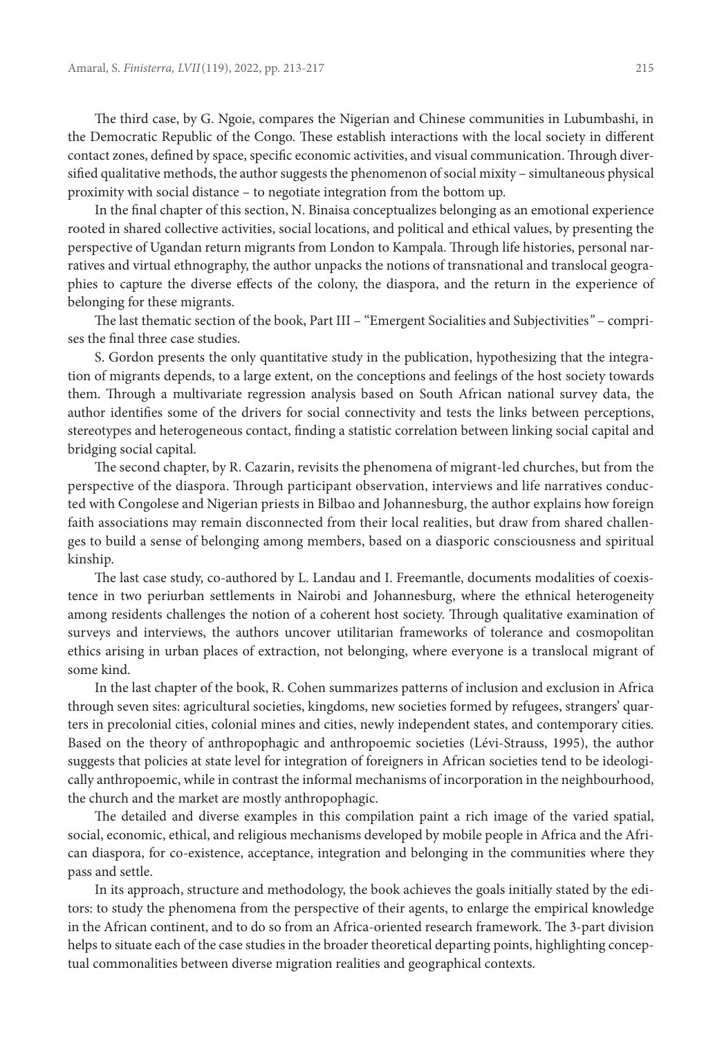The third case, by G. Ngoie, compares the Nigerian and Chinese communities in Lubumbashi, in the Democratic Republic of the Congo. These establish interactions with the local society in different contact zones, defined by space, specific economic activities, and visual communication. Through diversified qualitative methods, the author suggests the phenomenon of social mixity – simultaneous physical proximity with social distance – to negotiate integration from the bottom up.

In the final chapter of this section, N. Binaisa conceptualizes belonging as an emotional experience rooted in shared collective activities, social locations, and political and ethical values, by presenting the perspective of Ugandan return migrants from London to Kampala. Through life histories, personal narratives and virtual ethnography, the author unpacks the notions of transnational and translocal geographies to capture the diverse effects of the colony, the diaspora, and the return in the experience of belonging for these migrants.

The last thematic section of the book, Part III – "Emergent Socialities and Subjectivities*"* – comprises the final three case studies.

S. Gordon presents the only quantitative study in the publication, hypothesizing that the integration of migrants depends, to a large extent, on the conceptions and feelings of the host society towards them. Through a multivariate regression analysis based on South African national survey data, the author identifies some of the drivers for social connectivity and tests the links between perceptions, stereotypes and heterogeneous contact, finding a statistic correlation between linking social capital and bridging social capital.

The second chapter, by R. Cazarin, revisits the phenomena of migrant-led churches, but from the perspective of the diaspora. Through participant observation, interviews and life narratives conducted with Congolese and Nigerian priests in Bilbao and Johannesburg, the author explains how foreign faith associations may remain disconnected from their local realities, but draw from shared challenges to build a sense of belonging among members, based on a diasporic consciousness and spiritual kinship.

The last case study, co-authored by L. Landau and I. Freemantle, documents modalities of coexistence in two periurban settlements in Nairobi and Johannesburg, where the ethnical heterogeneity among residents challenges the notion of a coherent host society. Through qualitative examination of surveys and interviews, the authors uncover utilitarian frameworks of tolerance and cosmopolitan ethics arising in urban places of extraction, not belonging, where everyone is a translocal migrant of some kind.

In the last chapter of the book, R. Cohen summarizes patterns of inclusion and exclusion in Africa through seven sites: agricultural societies, kingdoms, new societies formed by refugees, strangers' quarters in precolonial cities, colonial mines and cities, newly independent states, and contemporary cities. Based on the theory of anthropophagic and anthropoemic societies (Lévi-Strauss, 1995), the author suggests that policies at state level for integration of foreigners in African societies tend to be ideologically anthropoemic, while in contrast the informal mechanisms of incorporation in the neighbourhood, the church and the market are mostly anthropophagic.

The detailed and diverse examples in this compilation paint a rich image of the varied spatial, social, economic, ethical, and religious mechanisms developed by mobile people in Africa and the African diaspora, for co-existence, acceptance, integration and belonging in the communities where they pass and settle.

In its approach, structure and methodology, the book achieves the goals initially stated by the editors: to study the phenomena from the perspective of their agents, to enlarge the empirical knowledge in the African continent, and to do so from an Africa-oriented research framework. The 3-part division helps to situate each of the case studies in the broader theoretical departing points, highlighting conceptual commonalities between diverse migration realities and geographical contexts.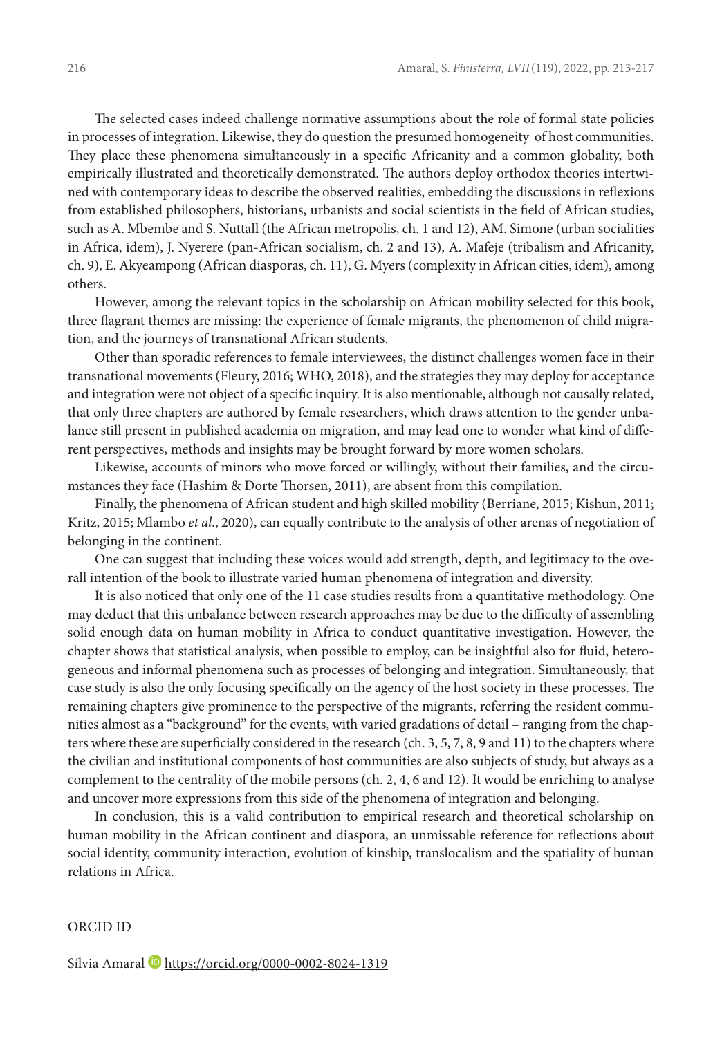The selected cases indeed challenge normative assumptions about the role of formal state policies in processes of integration. Likewise, they do question the presumed homogeneity of host communities. They place these phenomena simultaneously in a specific Africanity and a common globality, both empirically illustrated and theoretically demonstrated. The authors deploy orthodox theories intertwined with contemporary ideas to describe the observed realities, embedding the discussions in reflexions from established philosophers, historians, urbanists and social scientists in the field of African studies, such as A. Mbembe and S. Nuttall (the African metropolis, ch. 1 and 12), AM. Simone (urban socialities in Africa, idem), J. Nyerere (pan-African socialism, ch. 2 and 13), A. Mafeje (tribalism and Africanity, ch. 9), E. Akyeampong (African diasporas, ch. 11), G. Myers (complexity in African cities, idem), among others.

However, among the relevant topics in the scholarship on African mobility selected for this book, three flagrant themes are missing: the experience of female migrants, the phenomenon of child migration, and the journeys of transnational African students.

Other than sporadic references to female interviewees, the distinct challenges women face in their transnational movements (Fleury, 2016; WHO, 2018), and the strategies they may deploy for acceptance and integration were not object of a specific inquiry. It is also mentionable, although not causally related, that only three chapters are authored by female researchers, which draws attention to the gender unbalance still present in published academia on migration, and may lead one to wonder what kind of different perspectives, methods and insights may be brought forward by more women scholars.

Likewise, accounts of minors who move forced or willingly, without their families, and the circumstances they face (Hashim & Dorte Thorsen, 2011), are absent from this compilation.

Finally, the phenomena of African student and high skilled mobility (Berriane, 2015; Kishun, 2011; Kritz, 2015; Mlambo *et al*., 2020), can equally contribute to the analysis of other arenas of negotiation of belonging in the continent.

One can suggest that including these voices would add strength, depth, and legitimacy to the overall intention of the book to illustrate varied human phenomena of integration and diversity.

It is also noticed that only one of the 11 case studies results from a quantitative methodology. One may deduct that this unbalance between research approaches may be due to the difficulty of assembling solid enough data on human mobility in Africa to conduct quantitative investigation. However, the chapter shows that statistical analysis, when possible to employ, can be insightful also for fluid, heterogeneous and informal phenomena such as processes of belonging and integration. Simultaneously, that case study is also the only focusing specifically on the agency of the host society in these processes. The remaining chapters give prominence to the perspective of the migrants, referring the resident communities almost as a "background" for the events, with varied gradations of detail – ranging from the chapters where these are superficially considered in the research (ch. 3, 5, 7, 8, 9 and 11) to the chapters where the civilian and institutional components of host communities are also subjects of study, but always as a complement to the centrality of the mobile persons (ch. 2, 4, 6 and 12). It would be enriching to analyse and uncover more expressions from this side of the phenomena of integration and belonging.

In conclusion, this is a valid contribution to empirical research and theoretical scholarship on human mobility in the African continent and diaspora, an unmissable reference for reflections about social identity, community interaction, evolution of kinship, translocalism and the spatiality of human relations in Africa.

## ORCID ID

Sílvia Amaral D <https://orcid.org/0000-0002-8024-1319>